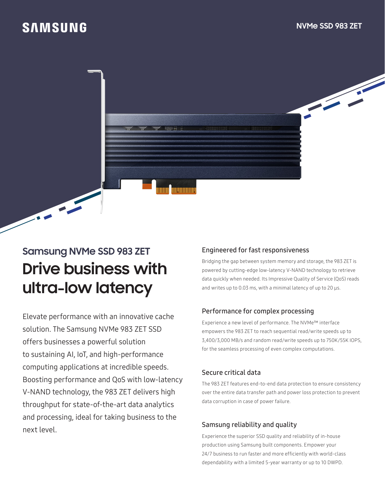## **SAMSUNG**

## **Samsung NVMe SSD 983 ZET Drive business with ultra-low latency**

Elevate performance with an innovative cache solution. The Samsung NVMe 983 ZET SSD offers businesses a powerful solution to sustaining AI, IoT, and high-performance computing applications at incredible speeds. Boosting performance and QoS with low-latency V-NAND technology, the 983 ZET delivers high throughput for state-of-the-art data analytics and processing, ideal for taking business to the next level.

### Engineered for fast responsiveness

Bridging the gap between system memory and storage, the 983 ZET is powered by cutting-edge low-latency V-NAND technology to retrieve data quickly when needed. Its Impressive Quality of Service (QoS) reads and writes up to 0.03 ms, with a minimal latency of up to 20 μs.

#### Performance for complex processing

Experience a new level of performance. The NVMe™ interface empowers the 983 ZET to reach sequential read/write speeds up to 3,400/3,000 MB/s and random read/write speeds up to 750K/55K IOPS, for the seamless processing of even complex computations.

#### Secure critical data

The 983 ZET features end-to-end data protection to ensure consistency over the entire data transfer path and power loss protection to prevent data corruption in case of power failure.

#### Samsung reliability and quality

Experience the superior SSD quality and reliability of in-house production using Samsung built components. Empower your 24/7 business to run faster and more efficiently with world-class dependability with a limited 5-year warranty or up to 10 DWPD.